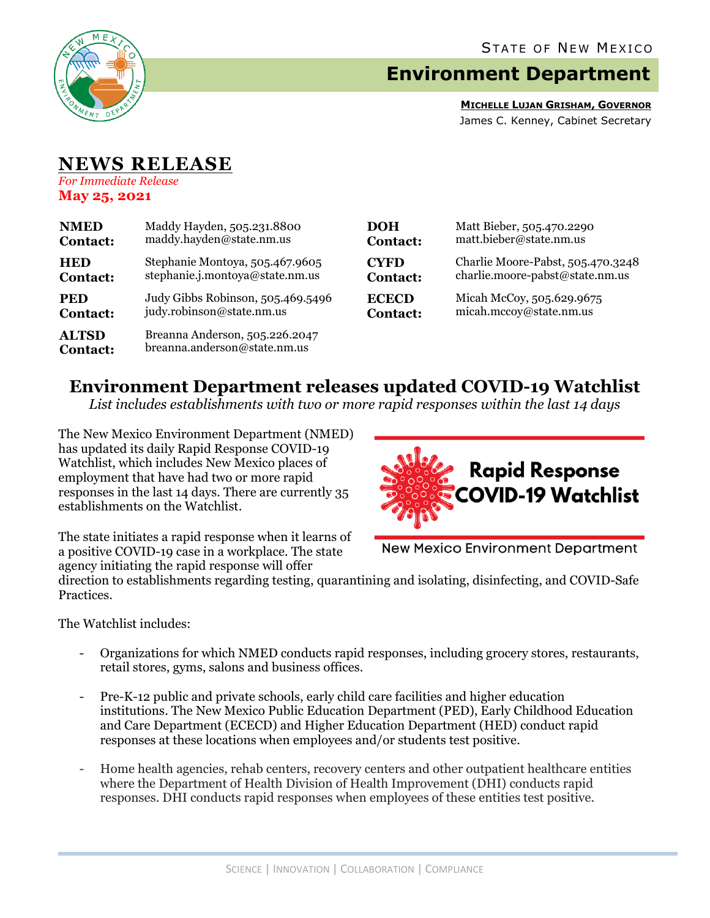

# **Environment Department**

**MICHELLE LUJAN GRISHAM, GOVERNOR** James C. Kenney, Cabinet Secretary

## **NEWS RELEASE** *For Immediate Release*

**May 25, 2021**

| <b>NMED</b>                     | Maddy Hayden, 505.231.8800                                     | <b>DOH</b>      |     |
|---------------------------------|----------------------------------------------------------------|-----------------|-----|
| <b>Contact:</b>                 | maddy.hayden@state.nm.us                                       | <b>Contact:</b> |     |
| <b>HED</b>                      | Stephanie Montoya, 505.467.9605                                | <b>CYFD</b>     | Ch  |
| <b>Contact:</b>                 | stephanie.j.montoya@state.nm.us                                | Contact:        | cha |
| <b>PED</b>                      | Judy Gibbs Robinson, 505.469.5496                              | <b>ECECD</b>    | Mi  |
| <b>Contact:</b>                 | judy.robinson@state.nm.us                                      | <b>Contact:</b> | mi  |
| <b>ALTSD</b><br><b>Contact:</b> | Breanna Anderson, 505.226.2047<br>breanna.anderson@state.nm.us |                 |     |

| <b>DOH</b>      | Matt Bieber, 505.470.2290         |
|-----------------|-----------------------------------|
| <b>Contact:</b> | matt.bieber@state.nm.us           |
| <b>CYFD</b>     | Charlie Moore-Pabst, 505.470.3248 |
| <b>Contact:</b> | charlie.moore-pabst@state.nm.us   |
| <b>ECECD</b>    | Micah McCoy, 505.629.9675         |
| <b>Contact:</b> | micah.mccoy@state.nm.us           |

# **Environment Department releases updated COVID-19 Watchlist**

*List includes establishments with two or more rapid responses within the last 14 days*

The New Mexico Environment Department (NMED) has updated its daily Rapid Response COVID-19 Watchlist, which includes New Mexico places of employment that have had two or more rapid responses in the last 14 days. There are currently 35 establishments on the Watchlist.



The state initiates a rapid response when it learns of a positive COVID-19 case in a workplace. The state agency initiating the rapid response will offer

**New Mexico Environment Department** 

direction to establishments regarding testing, quarantining and isolating, disinfecting, and COVID-Safe Practices.

The Watchlist includes:

- Organizations for which NMED conducts rapid responses, including grocery stores, restaurants, retail stores, gyms, salons and business offices.
- Pre-K-12 public and private schools, early child care facilities and higher education institutions. The New Mexico Public Education Department (PED), Early Childhood Education and Care Department (ECECD) and Higher Education Department (HED) conduct rapid responses at these locations when employees and/or students test positive.
- Home health agencies, rehab centers, recovery centers and other outpatient healthcare entities where the Department of Health Division of Health Improvement (DHI) conducts rapid responses. DHI conducts rapid responses when employees of these entities test positive.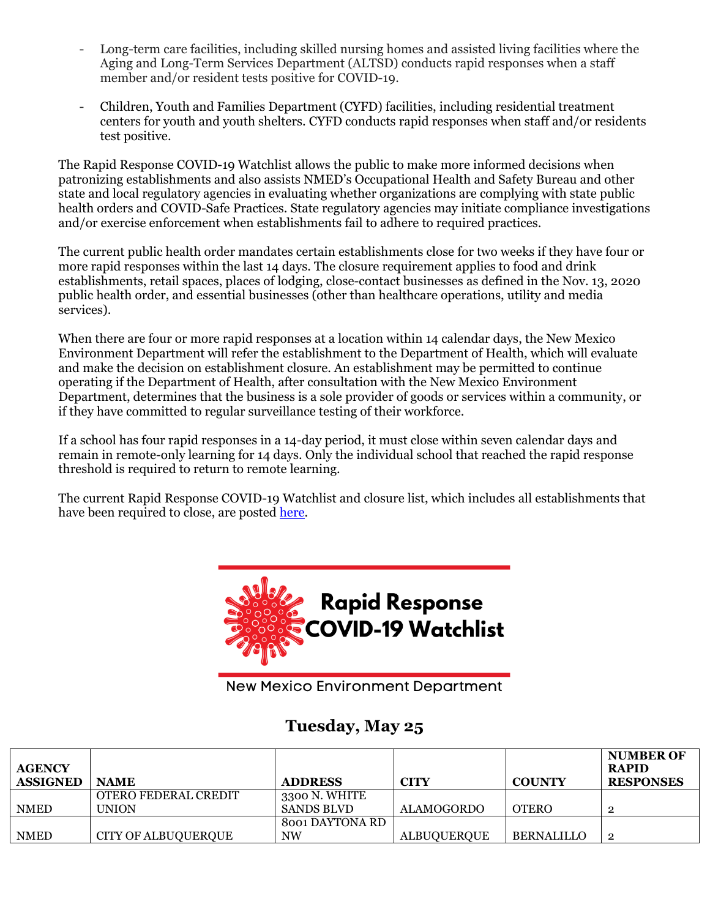- Long-term care facilities, including skilled nursing homes and assisted living facilities where the Aging and Long-Term Services Department (ALTSD) conducts rapid responses when a staff member and/or resident tests positive for COVID-19.
- Children, Youth and Families Department (CYFD) facilities, including residential treatment centers for youth and youth shelters. CYFD conducts rapid responses when staff and/or residents test positive.

The Rapid Response COVID-19 Watchlist allows the public to make more informed decisions when patronizing establishments and also assists NMED's Occupational Health and Safety Bureau and other state and local regulatory agencies in evaluating whether organizations are complying with state public health orders and COVID-Safe Practices. State regulatory agencies may initiate compliance investigations and/or exercise enforcement when establishments fail to adhere to required practices.

The current public health order mandates certain establishments close for two weeks if they have four or more rapid responses within the last 14 days. The closure requirement applies to food and drink establishments, retail spaces, places of lodging, close-contact businesses as defined in the Nov. 13, 2020 public health order, and essential businesses (other than healthcare operations, utility and media services).

When there are four or more rapid responses at a location within 14 calendar days, the New Mexico Environment Department will refer the establishment to the Department of Health, which will evaluate and make the decision on establishment closure. An establishment may be permitted to continue operating if the Department of Health, after consultation with the New Mexico Environment Department, determines that the business is a sole provider of goods or services within a community, or if they have committed to regular surveillance testing of their workforce.

If a school has four rapid responses in a 14-day period, it must close within seven calendar days and remain in remote-only learning for 14 days. Only the individual school that reached the rapid response threshold is required to return to remote learning.

The current Rapid Response COVID-19 Watchlist and closure list, which includes all establishments that have been required to close, are posted [here.](https://www.env.nm.gov/rapid-response-data/)



New Mexico Environment Department

## **Tuesday, May 25**

| <b>AGENCY</b><br><b>ASSIGNED</b> | <b>NAME</b>                | <b>ADDRESS</b>    | CITY               | <b>COUNTY</b>     | <b>NUMBER OF</b><br><b>RAPID</b><br><b>RESPONSES</b> |
|----------------------------------|----------------------------|-------------------|--------------------|-------------------|------------------------------------------------------|
|                                  | OTERO FEDERAL CREDIT       | 3300 N. WHITE     |                    |                   |                                                      |
| <b>NMED</b>                      | <b>UNION</b>               | <b>SANDS BLVD</b> | <b>ALAMOGORDO</b>  | <b>OTERO</b>      |                                                      |
|                                  |                            | 8001 DAYTONA RD   |                    |                   |                                                      |
| <b>NMED</b>                      | <b>CITY OF ALBUQUERQUE</b> | <b>NW</b>         | <b>ALBUOUEROUE</b> | <b>BERNALILLO</b> | റ                                                    |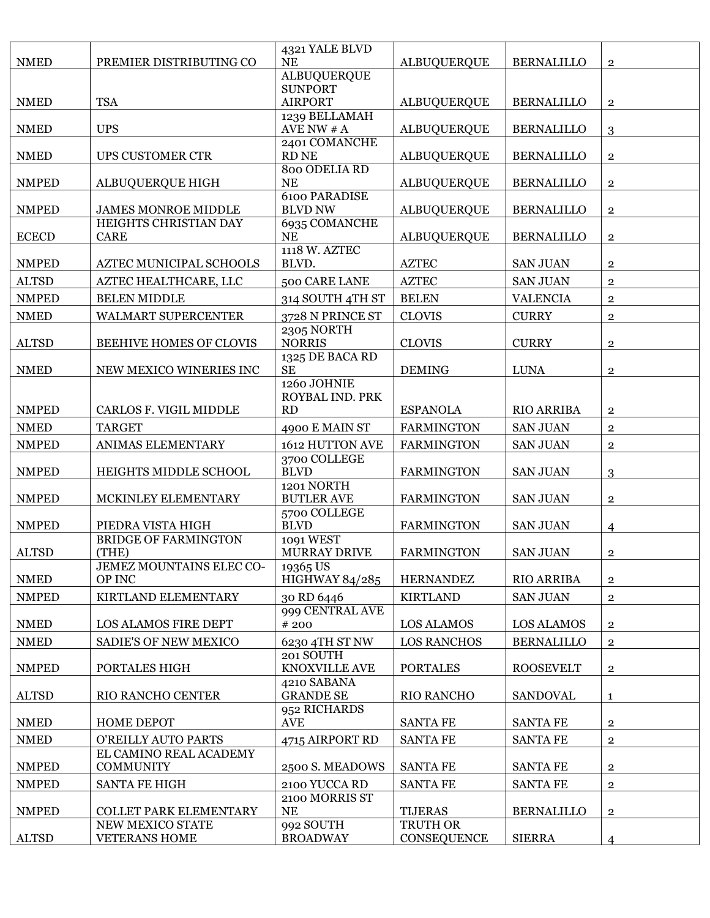| <b>NMED</b>  | PREMIER DISTRIBUTING CO                    | 4321 YALE BLVD<br><b>NE</b>                 | <b>ALBUQUERQUE</b> | <b>BERNALILLO</b> | $\overline{2}$          |
|--------------|--------------------------------------------|---------------------------------------------|--------------------|-------------------|-------------------------|
|              |                                            | <b>ALBUQUERQUE</b>                          |                    |                   |                         |
| <b>NMED</b>  | <b>TSA</b>                                 | <b>SUNPORT</b><br><b>AIRPORT</b>            | <b>ALBUQUERQUE</b> | <b>BERNALILLO</b> | $\mathbf{2}$            |
| <b>NMED</b>  | <b>UPS</b>                                 | 1239 BELLAMAH<br>AVE NW $# A$               | <b>ALBUQUERQUE</b> | <b>BERNALILLO</b> | 3                       |
| <b>NMED</b>  | <b>UPS CUSTOMER CTR</b>                    | 2401 COMANCHE<br><b>RD NE</b>               | <b>ALBUQUERQUE</b> | <b>BERNALILLO</b> | $\overline{2}$          |
| <b>NMPED</b> | <b>ALBUQUERQUE HIGH</b>                    | 800 ODELIA RD<br>NE                         | <b>ALBUQUERQUE</b> | <b>BERNALILLO</b> | $\overline{2}$          |
| <b>NMPED</b> | <b>JAMES MONROE MIDDLE</b>                 | <b>6100 PARADISE</b><br><b>BLVD NW</b>      | <b>ALBUQUERQUE</b> | <b>BERNALILLO</b> | $\overline{2}$          |
| <b>ECECD</b> | HEIGHTS CHRISTIAN DAY<br><b>CARE</b>       | 6935 COMANCHE<br><b>NE</b>                  | <b>ALBUQUERQUE</b> | <b>BERNALILLO</b> | $\overline{\mathbf{2}}$ |
| <b>NMPED</b> | AZTEC MUNICIPAL SCHOOLS                    | 1118 W. AZTEC<br>BLVD.                      | <b>AZTEC</b>       | <b>SAN JUAN</b>   | $\overline{\mathbf{2}}$ |
| <b>ALTSD</b> | AZTEC HEALTHCARE, LLC                      | 500 CARE LANE                               | <b>AZTEC</b>       | <b>SAN JUAN</b>   | $\mathbf{2}$            |
| <b>NMPED</b> | <b>BELEN MIDDLE</b>                        | 314 SOUTH 4TH ST                            | <b>BELEN</b>       | <b>VALENCIA</b>   | $\overline{\mathbf{2}}$ |
| <b>NMED</b>  | WALMART SUPERCENTER                        | 3728 N PRINCE ST                            | <b>CLOVIS</b>      | <b>CURRY</b>      | $\overline{2}$          |
| <b>ALTSD</b> | BEEHIVE HOMES OF CLOVIS                    | <b>2305 NORTH</b><br><b>NORRIS</b>          | <b>CLOVIS</b>      | <b>CURRY</b>      | $\overline{2}$          |
| <b>NMED</b>  | NEW MEXICO WINERIES INC                    | 1325 DE BACA RD<br><b>SE</b>                | <b>DEMING</b>      | <b>LUNA</b>       | $\overline{\mathbf{2}}$ |
| <b>NMPED</b> | CARLOS F. VIGIL MIDDLE                     | 1260 JOHNIE<br>ROYBAL IND. PRK<br><b>RD</b> | <b>ESPANOLA</b>    | <b>RIO ARRIBA</b> | $\overline{2}$          |
| <b>NMED</b>  | <b>TARGET</b>                              | 4900 E MAIN ST                              | <b>FARMINGTON</b>  | <b>SAN JUAN</b>   | $\overline{2}$          |
| <b>NMPED</b> | ANIMAS ELEMENTARY                          | 1612 HUTTON AVE                             | <b>FARMINGTON</b>  | <b>SAN JUAN</b>   | $\overline{\mathbf{2}}$ |
| <b>NMPED</b> | HEIGHTS MIDDLE SCHOOL                      | 3700 COLLEGE<br><b>BLVD</b>                 | <b>FARMINGTON</b>  | <b>SAN JUAN</b>   | 3                       |
| <b>NMPED</b> | MCKINLEY ELEMENTARY                        | 1201 NORTH<br><b>BUTLER AVE</b>             | <b>FARMINGTON</b>  | <b>SAN JUAN</b>   | $\overline{2}$          |
| <b>NMPED</b> | PIEDRA VISTA HIGH                          | 5700 COLLEGE<br><b>BLVD</b>                 | <b>FARMINGTON</b>  | <b>SAN JUAN</b>   | 4                       |
| <b>ALTSD</b> | <b>BRIDGE OF FARMINGTON</b><br>(THE)       | 1091 WEST<br><b>MURRAY DRIVE</b>            | <b>FARMINGTON</b>  | <b>SAN JUAN</b>   | $\overline{\mathbf{2}}$ |
| <b>NMED</b>  | JEMEZ MOUNTAINS ELEC CO-<br>OP INC         | 19365 US<br><b>HIGHWAY 84/285</b>           | <b>HERNANDEZ</b>   | <b>RIO ARRIBA</b> | $\overline{2}$          |
| <b>NMPED</b> | KIRTLAND ELEMENTARY                        | 30 RD 6446                                  | <b>KIRTLAND</b>    | <b>SAN JUAN</b>   | $\overline{2}$          |
| <b>NMED</b>  | LOS ALAMOS FIRE DEPT                       | 999 CENTRAL AVE<br># 200                    | <b>LOS ALAMOS</b>  | <b>LOS ALAMOS</b> | $\overline{2}$          |
| <b>NMED</b>  | <b>SADIE'S OF NEW MEXICO</b>               | 6230 4TH ST NW                              | <b>LOS RANCHOS</b> | <b>BERNALILLO</b> | $\overline{2}$          |
| <b>NMPED</b> | PORTALES HIGH                              | 201 SOUTH<br>KNOXVILLE AVE                  | <b>PORTALES</b>    | <b>ROOSEVELT</b>  | $\mathbf{2}$            |
| <b>ALTSD</b> | RIO RANCHO CENTER                          | 4210 SABANA<br><b>GRANDE SE</b>             | RIO RANCHO         | <b>SANDOVAL</b>   | $\mathbf{1}$            |
| <b>NMED</b>  | <b>HOME DEPOT</b>                          | 952 RICHARDS<br><b>AVE</b>                  | <b>SANTA FE</b>    | <b>SANTA FE</b>   | $\overline{2}$          |
| <b>NMED</b>  | O'REILLY AUTO PARTS                        | 4715 AIRPORT RD                             | <b>SANTA FE</b>    | <b>SANTA FE</b>   | $\mathbf{2}$            |
| <b>NMPED</b> | EL CAMINO REAL ACADEMY<br><b>COMMUNITY</b> | 2500 S. MEADOWS                             | <b>SANTA FE</b>    | <b>SANTA FE</b>   | $\overline{2}$          |
| <b>NMPED</b> | <b>SANTA FE HIGH</b>                       | 2100 YUCCA RD                               | <b>SANTA FE</b>    | <b>SANTA FE</b>   | $\overline{2}$          |
| <b>NMPED</b> | <b>COLLET PARK ELEMENTARY</b>              | 2100 MORRIS ST<br>$\rm NE$                  | <b>TIJERAS</b>     | <b>BERNALILLO</b> | $\overline{2}$          |
|              | NEW MEXICO STATE                           | 992 SOUTH                                   | TRUTH OR           |                   |                         |
| <b>ALTSD</b> | <b>VETERANS HOME</b>                       | <b>BROADWAY</b>                             | <b>CONSEQUENCE</b> | <b>SIERRA</b>     | 4                       |